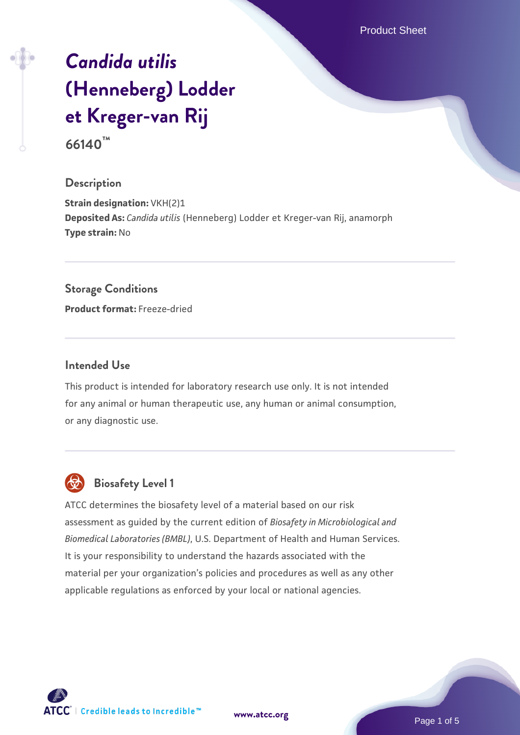Product Sheet

# *[Candida utilis](https://www.atcc.org/products/66140)* **[\(Henneberg\) Lodder](https://www.atcc.org/products/66140) [et Kreger-van Rij](https://www.atcc.org/products/66140)**

**66140™**

## **Description**

**Strain designation: VKH(2)1 Deposited As:** *Candida utilis* (Henneberg) Lodder et Kreger-van Rij, anamorph **Type strain:** No

#### **Storage Conditions**

**Product format:** Freeze-dried

### **Intended Use**

This product is intended for laboratory research use only. It is not intended for any animal or human therapeutic use, any human or animal consumption, or any diagnostic use.



# **Biosafety Level 1**

ATCC determines the biosafety level of a material based on our risk assessment as guided by the current edition of *Biosafety in Microbiological and Biomedical Laboratories (BMBL)*, U.S. Department of Health and Human Services. It is your responsibility to understand the hazards associated with the material per your organization's policies and procedures as well as any other applicable regulations as enforced by your local or national agencies.

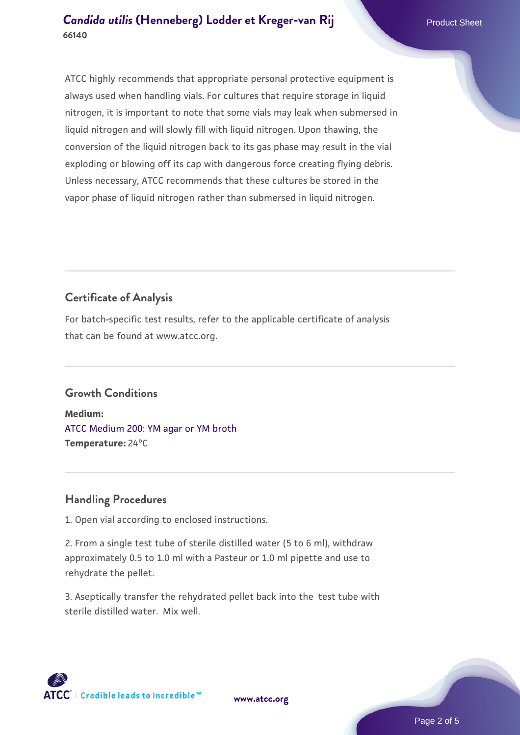ATCC highly recommends that appropriate personal protective equipment is always used when handling vials. For cultures that require storage in liquid nitrogen, it is important to note that some vials may leak when submersed in liquid nitrogen and will slowly fill with liquid nitrogen. Upon thawing, the conversion of the liquid nitrogen back to its gas phase may result in the vial exploding or blowing off its cap with dangerous force creating flying debris. Unless necessary, ATCC recommends that these cultures be stored in the vapor phase of liquid nitrogen rather than submersed in liquid nitrogen.

# **Certificate of Analysis**

For batch-specific test results, refer to the applicable certificate of analysis that can be found at www.atcc.org.

# **Growth Conditions**

**Medium:**  [ATCC Medium 200: YM agar or YM broth](https://www.atcc.org/-/media/product-assets/documents/microbial-media-formulations/2/0/0/atcc-medium-200.pdf?rev=ac40fd74dc13433a809367b0b9da30fc) **Temperature:** 24°C

# **Handling Procedures**

1. Open vial according to enclosed instructions.

2. From a single test tube of sterile distilled water (5 to 6 ml), withdraw approximately 0.5 to 1.0 ml with a Pasteur or 1.0 ml pipette and use to rehydrate the pellet.

3. Aseptically transfer the rehydrated pellet back into the test tube with sterile distilled water. Mix well.

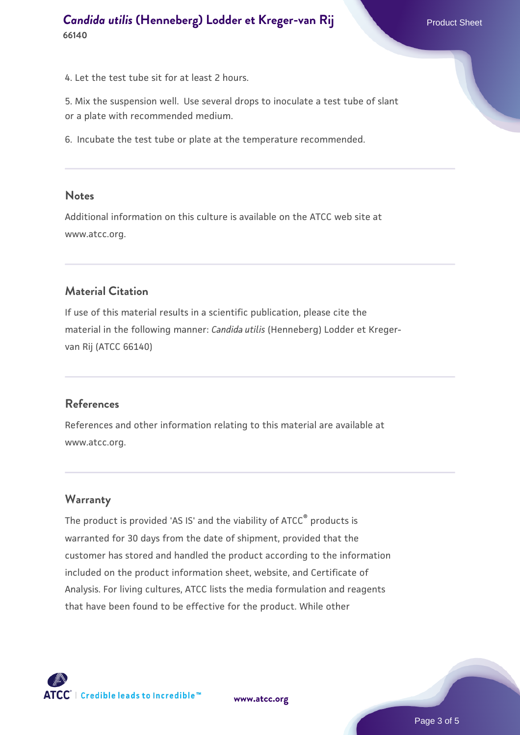4. Let the test tube sit for at least 2 hours.

5. Mix the suspension well. Use several drops to inoculate a test tube of slant or a plate with recommended medium.

6. Incubate the test tube or plate at the temperature recommended.

#### **Notes**

Additional information on this culture is available on the ATCC web site at www.atcc.org.

#### **Material Citation**

If use of this material results in a scientific publication, please cite the material in the following manner: *Candida utilis* (Henneberg) Lodder et Kregervan Rij (ATCC 66140)

#### **References**

References and other information relating to this material are available at www.atcc.org.

### **Warranty**

The product is provided 'AS IS' and the viability of ATCC® products is warranted for 30 days from the date of shipment, provided that the customer has stored and handled the product according to the information included on the product information sheet, website, and Certificate of Analysis. For living cultures, ATCC lists the media formulation and reagents that have been found to be effective for the product. While other



**[www.atcc.org](http://www.atcc.org)**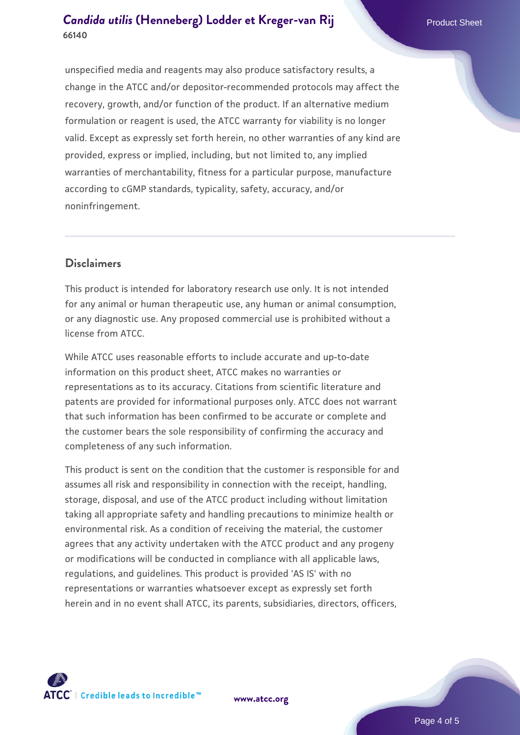# **[Candida utilis](https://www.atcc.org/products/66140) [\(Henneberg\) Lodder et Kreger-van Rij](https://www.atcc.org/products/66140) Product Sheet 66140**

unspecified media and reagents may also produce satisfactory results, a change in the ATCC and/or depositor-recommended protocols may affect the recovery, growth, and/or function of the product. If an alternative medium formulation or reagent is used, the ATCC warranty for viability is no longer valid. Except as expressly set forth herein, no other warranties of any kind are provided, express or implied, including, but not limited to, any implied warranties of merchantability, fitness for a particular purpose, manufacture according to cGMP standards, typicality, safety, accuracy, and/or noninfringement.

### **Disclaimers**

This product is intended for laboratory research use only. It is not intended for any animal or human therapeutic use, any human or animal consumption, or any diagnostic use. Any proposed commercial use is prohibited without a license from ATCC.

While ATCC uses reasonable efforts to include accurate and up-to-date information on this product sheet, ATCC makes no warranties or representations as to its accuracy. Citations from scientific literature and patents are provided for informational purposes only. ATCC does not warrant that such information has been confirmed to be accurate or complete and the customer bears the sole responsibility of confirming the accuracy and completeness of any such information.

This product is sent on the condition that the customer is responsible for and assumes all risk and responsibility in connection with the receipt, handling, storage, disposal, and use of the ATCC product including without limitation taking all appropriate safety and handling precautions to minimize health or environmental risk. As a condition of receiving the material, the customer agrees that any activity undertaken with the ATCC product and any progeny or modifications will be conducted in compliance with all applicable laws, regulations, and guidelines. This product is provided 'AS IS' with no representations or warranties whatsoever except as expressly set forth herein and in no event shall ATCC, its parents, subsidiaries, directors, officers,



**[www.atcc.org](http://www.atcc.org)**